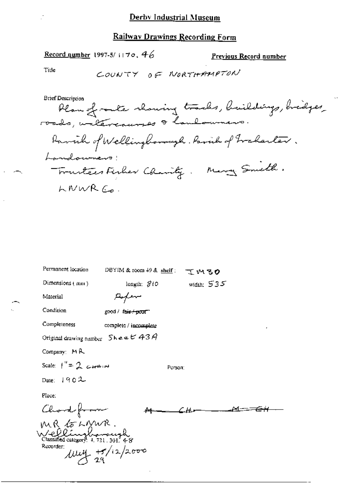#### **Railway Drawings Recording Form**

Record number 1997-5/1170, 46

Previous Record number

Title

COUNTY OF NORTHAMPTON

**Brief Description** Plan of racte showing tracks, buildings, bridges,<br>roads, untercausses & landowners. Ramich of Wellingborough. Parish of Frakarter. Landouners! Trustees Fisher Chanity. Many Smith. LNWRC.

| Permanent location                              | DBYIM & room $49$ & shelf :<br>ているの |  |
|-------------------------------------------------|-------------------------------------|--|
| Dimensions (mm)                                 | width: $535$<br>lengih: SiO         |  |
| Material                                        |                                     |  |
| Condition                                       | good / fa <del>ir/poor</del>        |  |
| Completeness                                    | complete / incomplete               |  |
| Original drawing number $5$ <b>hee</b> $6$ 43 A |                                     |  |
| Company: MR                                     |                                     |  |
| Scale: $1'' = 2$ cannot                         | Регзол:                             |  |
| Date: $1902$                                    |                                     |  |
| Place:                                          |                                     |  |
| Chard from                                      |                                     |  |
|                                                 |                                     |  |
| MR to LMWR.<br>Wellinghomough                   |                                     |  |
| Recorder:                                       | $\mu$ uy $\frac{15}{29}/12/2000$    |  |
|                                                 |                                     |  |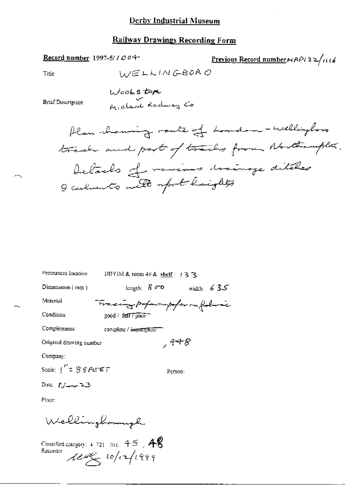#### **Railway Drawings Recording Form**

Record number 1997-5/1004-

Previous Record number  $MPP/3 \geq /116$ 

Title

WELLINGBORO

**Brief Description** 

Wookstore m aland Radway Co

Plan chaming route of London - Willington track and part of tracks from Northampton. Details of various drainage ditches I calments with spot heights

| Permanent location                  | DBYIM & room 49 & shelf: $+3$ 3.   |  |  |
|-------------------------------------|------------------------------------|--|--|
| Dimensions $(mn)$                   | length: $8\degree$<br>width: $635$ |  |  |
| Material                            | Tracing poperampofer on following  |  |  |
| Condition                           | $good / 27$ pour                   |  |  |
| Completeness                        | complete / incomplete              |  |  |
| Original drawing number             | كاسهم ,                            |  |  |
| Company:                            |                                    |  |  |
| Scale: $1''$ = $88$ $F$ $E$ $E$ $T$ | Person:                            |  |  |
| Date: $f_{\text{down}}$ $23$        |                                    |  |  |
| Place:                              |                                    |  |  |

Wellingboungh

Classified category:  $+721/301$ ,  $45$ ,  $48$ Recorder  $228/10/1999$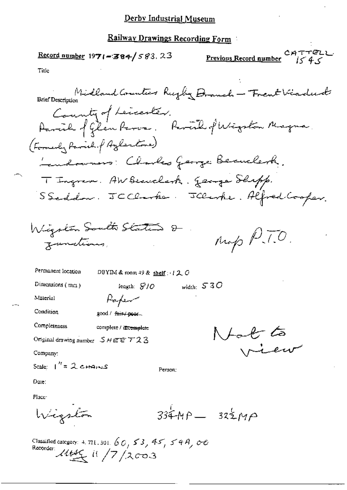### Derby Industrial Museum

## Railway Drawings Recording Form

CATTELL.  $\frac{\text{Record number}}{1971 - 384}$  583, 23 Previous Record number is 4  $\epsilon$ Title Brief Description Midland Counters Rugley Dramah - Trent Viraduat Country of Leicenter. Parcil of Glen Paros. Parcil of Wigston Magna (Formerly Parish. f Azlentone) Landowners: Charles George Beauclerk. T Ingrem. AW Beauclasts. George Shipp. SSeddow. JCClarke. JClarke. Alfred Cooper. Wigston South States &  $n_{\phi}$  P.T.O. Junctions, Permanent location DBYIM & room 49 & shelf:  $120$ Dimensions (mm) width:  $530$ length:  $S/O$ Material Paper Condition good / f<del>air / poor</del>... Completeness complete / intemplete  $N$ foo $\ell^{\tau}$ ts Original drawing number  $SHEE$   $723$ rieur Company: Scale:  $1'' = 2$  changs Person: Dute: Place:

 $334MP - 325MP$ Wigston

Classified category: 4, 721, 301,  $60, 53, 45, 54A, 60$ Recorder:  $1446$  if  $17/x$ 003